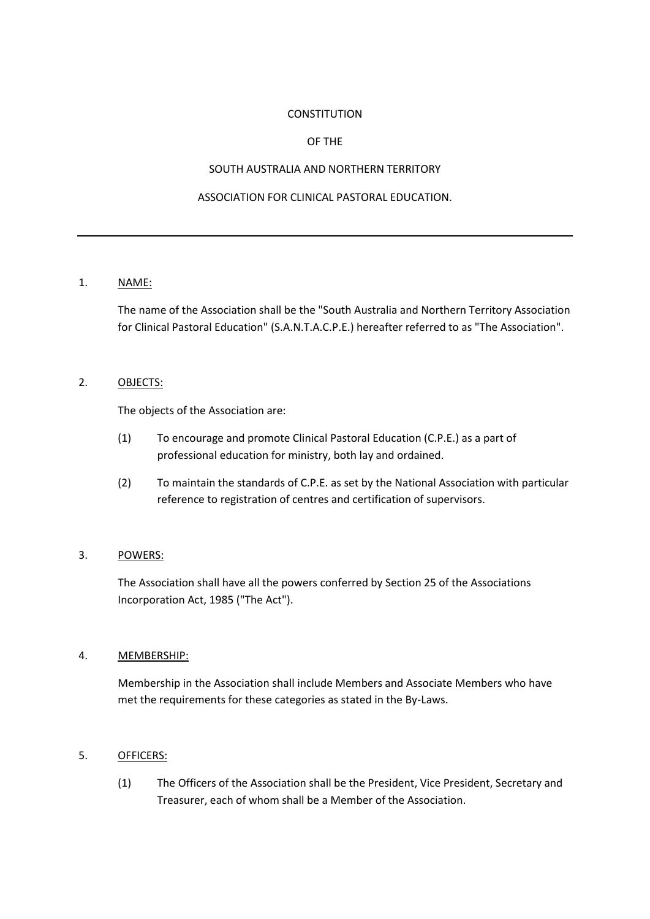#### **CONSTITUTION**

#### OF THE

#### SOUTH AUSTRALIA AND NORTHERN TERRITORY

## ASSOCIATION FOR CLINICAL PASTORAL EDUCATION.

## 1. NAME:

The name of the Association shall be the "South Australia and Northern Territory Association for Clinical Pastoral Education" (S.A.N.T.A.C.P.E.) hereafter referred to as "The Association".

## 2. OBJECTS:

The objects of the Association are:

- (1) To encourage and promote Clinical Pastoral Education (C.P.E.) as a part of professional education for ministry, both lay and ordained.
- (2) To maintain the standards of C.P.E. as set by the National Association with particular reference to registration of centres and certification of supervisors.

## 3. POWERS:

The Association shall have all the powers conferred by Section 25 of the Associations Incorporation Act, 1985 ("The Act").

#### 4. MEMBERSHIP:

Membership in the Association shall include Members and Associate Members who have met the requirements for these categories as stated in the By-Laws.

#### 5. OFFICERS:

(1) The Officers of the Association shall be the President, Vice President, Secretary and Treasurer, each of whom shall be a Member of the Association.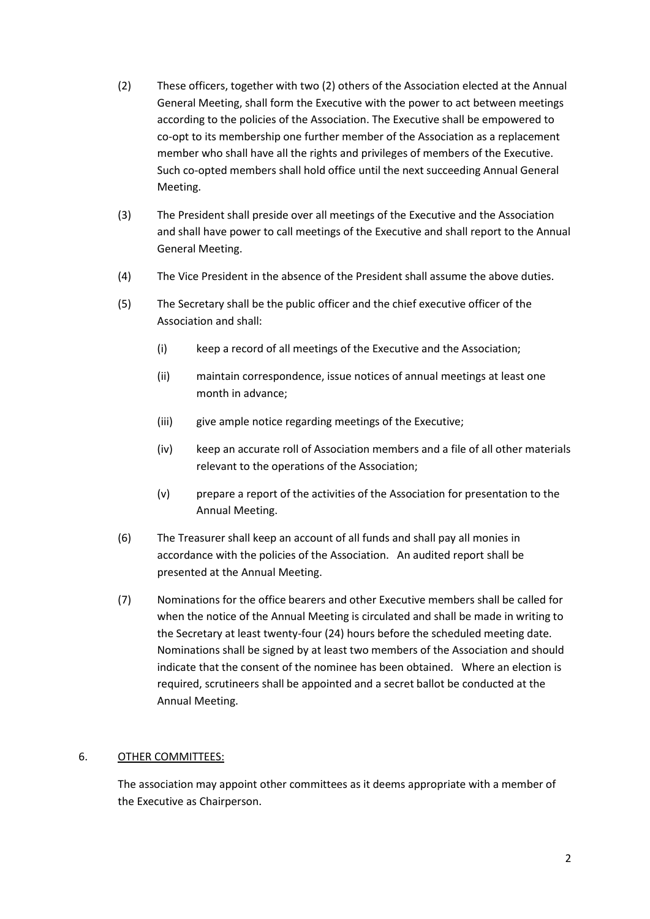- (2) These officers, together with two (2) others of the Association elected at the Annual General Meeting, shall form the Executive with the power to act between meetings according to the policies of the Association. The Executive shall be empowered to co-opt to its membership one further member of the Association as a replacement member who shall have all the rights and privileges of members of the Executive. Such co-opted members shall hold office until the next succeeding Annual General Meeting.
- (3) The President shall preside over all meetings of the Executive and the Association and shall have power to call meetings of the Executive and shall report to the Annual General Meeting.
- (4) The Vice President in the absence of the President shall assume the above duties.
- (5) The Secretary shall be the public officer and the chief executive officer of the Association and shall:
	- (i) keep a record of all meetings of the Executive and the Association;
	- (ii) maintain correspondence, issue notices of annual meetings at least one month in advance;
	- (iii) give ample notice regarding meetings of the Executive;
	- (iv) keep an accurate roll of Association members and a file of all other materials relevant to the operations of the Association;
	- (v) prepare a report of the activities of the Association for presentation to the Annual Meeting.
- (6) The Treasurer shall keep an account of all funds and shall pay all monies in accordance with the policies of the Association. An audited report shall be presented at the Annual Meeting.
- (7) Nominations for the office bearers and other Executive members shall be called for when the notice of the Annual Meeting is circulated and shall be made in writing to the Secretary at least twenty-four (24) hours before the scheduled meeting date. Nominations shall be signed by at least two members of the Association and should indicate that the consent of the nominee has been obtained. Where an election is required, scrutineers shall be appointed and a secret ballot be conducted at the Annual Meeting.

#### 6. OTHER COMMITTEES:

The association may appoint other committees as it deems appropriate with a member of the Executive as Chairperson.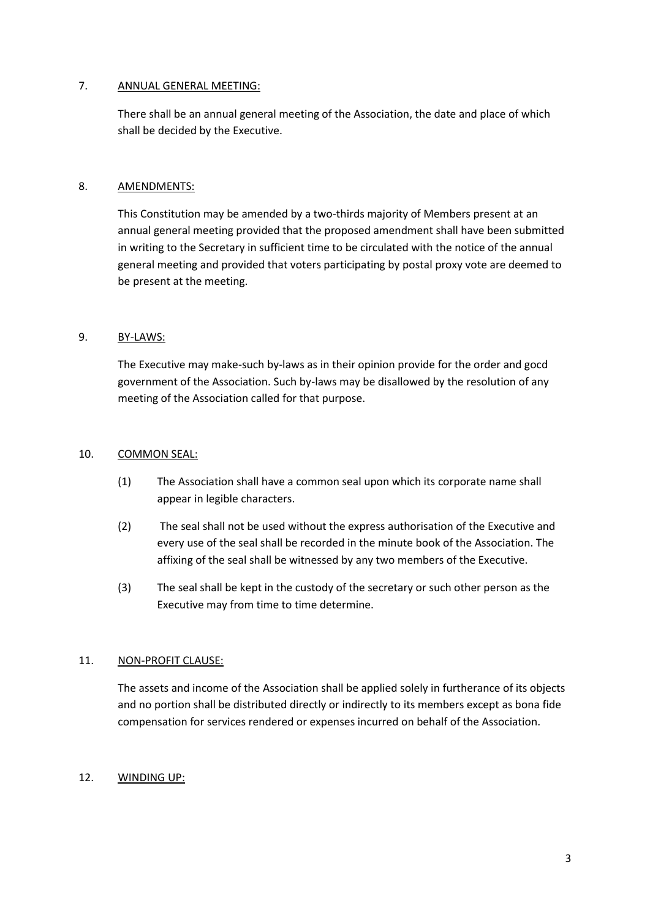### 7. ANNUAL GENERAL MEETING:

There shall be an annual general meeting of the Association, the date and place of which shall be decided by the Executive.

## 8. AMENDMENTS:

This Constitution may be amended by a two-thirds majority of Members present at an annual general meeting provided that the proposed amendment shall have been submitted in writing to the Secretary in sufficient time to be circulated with the notice of the annual general meeting and provided that voters participating by postal proxy vote are deemed to be present at the meeting.

## 9. BY-LAWS:

The Executive may make-such by-laws as in their opinion provide for the order and gocd government of the Association. Such by-laws may be disallowed by the resolution of any meeting of the Association called for that purpose.

### 10. COMMON SEAL:

- (1) The Association shall have a common seal upon which its corporate name shall appear in legible characters.
- (2) The seal shall not be used without the express authorisation of the Executive and every use of the seal shall be recorded in the minute book of the Association. The affixing of the seal shall be witnessed by any two members of the Executive.
- (3) The seal shall be kept in the custody of the secretary or such other person as the Executive may from time to time determine.

# 11. NON-PROFIT CLAUSE:

The assets and income of the Association shall be applied solely in furtherance of its objects and no portion shall be distributed directly or indirectly to its members except as bona fide compensation for services rendered or expenses incurred on behalf of the Association.

# 12. WINDING UP: